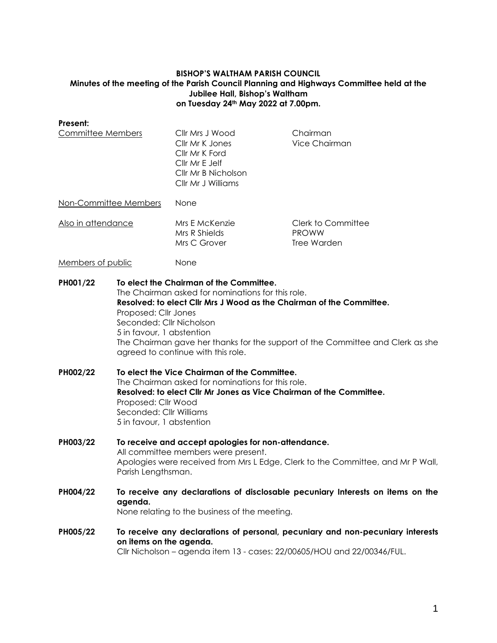### **BISHOP'S WALTHAM PARISH COUNCIL Minutes of the meeting of the Parish Council Planning and Highways Committee held at the Jubilee Hall, Bishop's Waltham on Tuesday 24th May 2022 at 7.00pm.**

**Present:**

Committee Members Cllr Mrs J Wood Chairman Cllr Mr K Jones Vice Chairman Cllr Mr K Ford Cllr Mr E Jelf Cllr Mr B Nicholson Cllr Mr J Williams Non-Committee Members None Also in attendance Mrs E McKenzie Clerk to Committee Mrs R Shields PROWW Mrs C Grover Tree Warden Members of public None **PH001/22 To elect the Chairman of the Committee.** The Chairman asked for nominations for this role. **Resolved: to elect Cllr Mrs J Wood as the Chairman of the Committee.** Proposed: Cllr Jones Seconded: Cllr Nicholson 5 in favour, 1 abstention The Chairman gave her thanks for the support of the Committee and Clerk as she agreed to continue with this role.

- **PH002/22 To elect the Vice Chairman of the Committee.** The Chairman asked for nominations for this role. **Resolved: to elect Cllr Mr Jones as Vice Chairman of the Committee.** Proposed: Cllr Wood Seconded: Cllr Williams 5 in favour, 1 abstention
- **PH003/22 To receive and accept apologies for non-attendance.** All committee members were present. Apologies were received from Mrs L Edge, Clerk to the Committee, and Mr P Wall, Parish Lengthsman.
- **PH004/22 To receive any declarations of disclosable pecuniary Interests on items on the agenda.** None relating to the business of the meeting.

**PH005/22 To receive any declarations of personal, pecuniary and non-pecuniary interests on items on the agenda.** Cllr Nicholson – agenda item 13 - cases: 22/00605/HOU and 22/00346/FUL.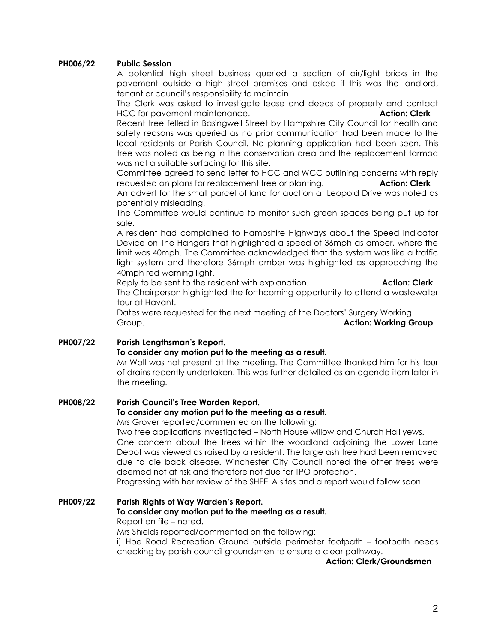## **PH006/22 Public Session**

A potential high street business queried a section of air/light bricks in the pavement outside a high street premises and asked if this was the landlord, tenant or council's responsibility to maintain.

The Clerk was asked to investigate lease and deeds of property and contact HCC for pavement maintenance. **Action: Clerk**

Recent tree felled in Basingwell Street by Hampshire City Council for health and safety reasons was queried as no prior communication had been made to the local residents or Parish Council. No planning application had been seen. This tree was noted as being in the conservation area and the replacement tarmac was not a suitable surfacing for this site.

Committee agreed to send letter to HCC and WCC outlining concerns with reply requested on plans for replacement tree or planting. **Action: Clerk**

An advert for the small parcel of land for auction at Leopold Drive was noted as potentially misleading.

The Committee would continue to monitor such green spaces being put up for sale.

A resident had complained to Hampshire Highways about the Speed Indicator Device on The Hangers that highlighted a speed of 36mph as amber, where the limit was 40mph. The Committee acknowledged that the system was like a traffic light system and therefore 36mph amber was highlighted as approaching the 40mph red warning light.

Reply to be sent to the resident with explanation. **Action: Clerk**

The Chairperson highlighted the forthcoming opportunity to attend a wastewater tour at Havant.

Dates were requested for the next meeting of the Doctors' Surgery Working Group. **Action: Working Group**

# **PH007/22 Parish Lengthsman's Report.**

## **To consider any motion put to the meeting as a result.**

Mr Wall was not present at the meeting. The Committee thanked him for his tour of drains recently undertaken. This was further detailed as an agenda item later in the meeting.

# **PH008/22 Parish Council's Tree Warden Report.**

# **To consider any motion put to the meeting as a result.**

Mrs Grover reported/commented on the following:

Two tree applications investigated – North House willow and Church Hall yews. One concern about the trees within the woodland adjoining the Lower Lane Depot was viewed as raised by a resident. The large ash tree had been removed due to die back disease. Winchester City Council noted the other trees were deemed not at risk and therefore not due for TPO protection.

Progressing with her review of the SHEELA sites and a report would follow soon.

# **PH009/22 Parish Rights of Way Warden's Report. To consider any motion put to the meeting as a result.** Report on file – noted.

Mrs Shields reported/commented on the following:

i) Hoe Road Recreation Ground outside perimeter footpath – footpath needs checking by parish council groundsmen to ensure a clear pathway.

### **Action: Clerk/Groundsmen**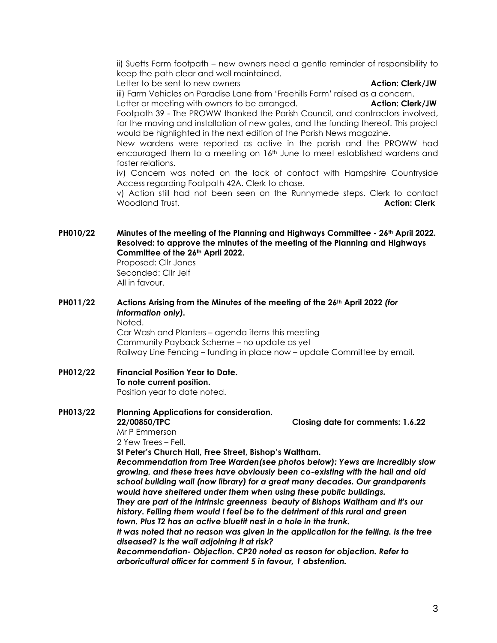ii) Suetts Farm footpath – new owners need a gentle reminder of responsibility to keep the path clear and well maintained.

Letter to be sent to new owners **Action: Clerk/JW** 

iii) Farm Vehicles on Paradise Lane from 'Freehills Farm' raised as a concern. Letter or meeting with owners to be arranged. **Action: Clerk/JW**

Footpath 39 - The PROWW thanked the Parish Council, and contractors involved, for the moving and installation of new gates, and the funding thereof. This project would be highlighted in the next edition of the Parish News magazine.

New wardens were reported as active in the parish and the PROWW had encouraged them to a meeting on 16<sup>th</sup> June to meet established wardens and foster relations.

iv) Concern was noted on the lack of contact with Hampshire Countryside Access regarding Footpath 42A. Clerk to chase.

v) Action still had not been seen on the Runnymede steps. Clerk to contact Woodland Trust. **Action: Clerk**

**PH010/22 Minutes of the meeting of the Planning and Highways Committee - 26th April 2022. Resolved: to approve the minutes of the meeting of the Planning and Highways Committee of the 26th April 2022.**

Proposed: Cllr Jones Seconded: Cllr Jelf All in favour.

**PH011/22 Actions Arising from the Minutes of the meeting of the 26th April 2022** *(for information only).*

Noted.

Car Wash and Planters – agenda items this meeting Community Payback Scheme – no update as yet Railway Line Fencing – funding in place now – update Committee by email.

### **PH012/22 Financial Position Year to Date. To note current position.** Position year to date noted.

**PH013/22 Planning Applications for consideration. 22/00850/TPC Closing date for comments: 1.6.22** Mr P Emmerson 2 Yew Trees – Fell.

**St Peter's Church Hall, Free Street, Bishop's Waltham.**

*Recommendation from Tree Warden(see photos below): Yews are incredibly slow growing, and these trees have obviously been co-existing with the hall and old school building wall (now library) for a great many decades. Our grandparents would have sheltered under them when using these public buildings.*

*They are part of the intrinsic greenness beauty of Bishops Waltham and it's our history. Felling them would I feel be to the detriment of this rural and green town. Plus T2 has an active bluetit nest in a hole in the trunk.*

*It was noted that no reason was given in the application for the felling. Is the tree diseased? Is the wall adjoining it at risk?* 

*Recommendation- Objection. CP20 noted as reason for objection. Refer to arboricultural officer for comment 5 in favour, 1 abstention.*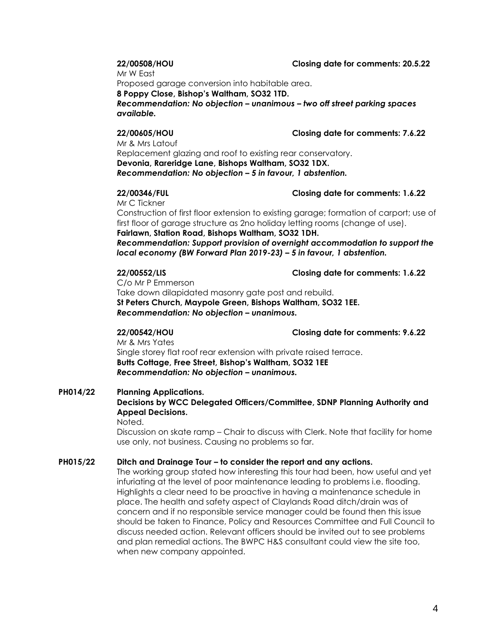**22/00508/HOU Closing date for comments: 20.5.22**

Mr W East

Proposed garage conversion into habitable area.

**8 Poppy Close, Bishop's Waltham, SO32 1TD.**

*Recommendation: No objection – unanimous – two off street parking spaces available.*

**22/00605/HOU Closing date for comments: 7.6.22**

Mr & Mrs Latouf Replacement glazing and roof to existing rear conservatory. **Devonia, Rareridge Lane, Bishops Waltham, SO32 1DX.** *Recommendation: No objection – 5 in favour, 1 abstention.*

### **22/00346/FUL Closing date for comments: 1.6.22**

Mr C Tickner

Construction of first floor extension to existing garage; formation of carport; use of first floor of garage structure as 2no holiday letting rooms (change of use). **Fairlawn, Station Road, Bishops Waltham, SO32 1DH.**

*Recommendation: Support provision of overnight accommodation to support the local economy (BW Forward Plan 2019-23) – 5 in favour, 1 abstention.*

### **22/00552/LIS Closing date for comments: 1.6.22**

C/o Mr P Emmerson Take down dilapidated masonry gate post and rebuild. **St Peters Church, Maypole Green, Bishops Waltham, SO32 1EE.** *Recommendation: No objection – unanimous.*

**22/00542/HOU Closing date for comments: 9.6.22**

Mr & Mrs Yates Single storey flat roof rear extension with private raised terrace. **Butts Cottage, Free Street, Bishop's Waltham, SO32 1EE** *Recommendation: No objection – unanimous.*

# **PH014/22 Planning Applications.**

# **Decisions by WCC Delegated Officers/Committee, SDNP Planning Authority and Appeal Decisions.**

Noted.

Discussion on skate ramp – Chair to discuss with Clerk. Note that facility for home use only, not business. Causing no problems so far.

## **PH015/22 Ditch and Drainage Tour – to consider the report and any actions.**

The working group stated how interesting this tour had been, how useful and yet infuriating at the level of poor maintenance leading to problems i.e. flooding. Highlights a clear need to be proactive in having a maintenance schedule in place. The health and safety aspect of Claylands Road ditch/drain was of concern and if no responsible service manager could be found then this issue should be taken to Finance, Policy and Resources Committee and Full Council to discuss needed action. Relevant officers should be invited out to see problems and plan remedial actions. The BWPC H&S consultant could view the site too, when new company appointed.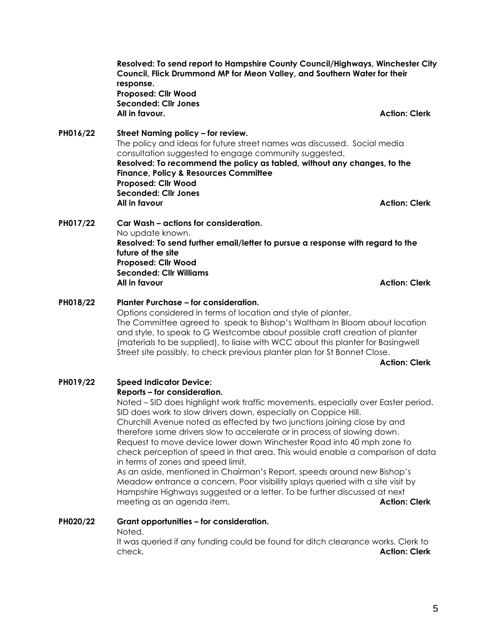**Resolved: To send report to Hampshire County Council/Highways, Winchester City Council, Flick Drummond MP for Meon Valley, and Southern Water for their response. Proposed: Cllr Wood Seconded: Cllr Jones All in favour. Action: Clerk**

**PH016/22 Street Naming policy – for review.** The policy and ideas for future street names was discussed. Social media consultation suggested to engage community suggested. **Resolved: To recommend the policy as tabled, without any changes, to the Finance, Policy & Resources Committee Proposed: Cllr Wood Seconded: Cllr Jones All in favour Action: Clerk**

**PH017/22 Car Wash – actions for consideration.** No update known. **Resolved: To send further email/letter to pursue a response with regard to the future of the site Proposed: Cllr Wood Seconded: Cllr Williams All in favour Action: Clerk**

**PH018/22 Planter Purchase – for consideration.** Options considered in terms of location and style of planter. The Committee agreed to speak to Bishop's Waltham In Bloom about location and style, to speak to G Westcombe about possible craft creation of planter (materials to be supplied), to liaise with WCC about this planter for Basingwell Street site possibly, to check previous planter plan for St Bonnet Close.

**Action: Clerk**

**PH019/22 Speed Indicator Device: Reports – for consideration.** Noted – SID does highlight work traffic movements, especially over Easter period.

SID does work to slow drivers down, especially on Coppice Hill. Churchill Avenue noted as effected by two junctions joining close by and therefore some drivers slow to accelerate or in process of slowing down. Request to move device lower down Winchester Road into 40 mph zone to check perception of speed in that area. This would enable a comparison of data in terms of zones and speed limit.

As an aside, mentioned in Chairman's Report, speeds around new Bishop's Meadow entrance a concern. Poor visibility splays queried with a site visit by Hampshire Highways suggested or a letter. To be further discussed at next meeting as an agenda item. **Action: Clerk**

# **PH020/22 Grant opportunities – for consideration.**

Noted.

It was queried if any funding could be found for ditch clearance works. Clerk to check. **Action: Clerk**